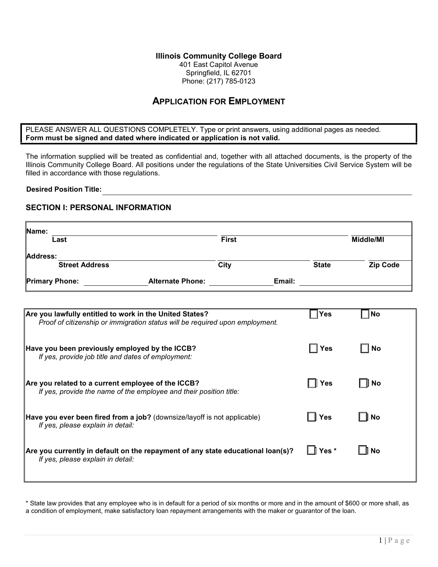#### **Illinois Community College Board**

401 East Capitol Avenue Springfield, IL 62701 Phone: (217) 785-0123

## **APPLICATION FOR EMPLOYMENT**

PLEASE ANSWER ALL QUESTIONS COMPLETELY. Type or print answers, using additional pages as needed. **Form must be signed and dated where indicated or application is not valid.**

The information supplied will be treated as confidential and, together with all attached documents, is the property of the Illinois Community College Board. All positions under the regulations of the State Universities Civil Service System will be filled in accordance with those regulations.

**Desired Position Title:** 

#### **SECTION I: PERSONAL INFORMATION**

| Name:                 |                         |              |        |              |                  |
|-----------------------|-------------------------|--------------|--------|--------------|------------------|
| Last                  |                         | <b>First</b> |        |              | <b>Middle/MI</b> |
| <b>Address:</b>       |                         |              |        |              |                  |
| <b>Street Address</b> |                         | City         |        | <b>State</b> | <b>Zip Code</b>  |
| <b>Primary Phone:</b> | <b>Alternate Phone:</b> |              | Email: |              |                  |

| ∥Are you lawfully entitled to work in the United States?<br>Proof of citizenship or immigration status will be required upon employment. | Yes          | No        |
|------------------------------------------------------------------------------------------------------------------------------------------|--------------|-----------|
| Have you been previously employed by the ICCB?<br>If yes, provide job title and dates of employment:                                     | $\Box$ Yes   | <b>No</b> |
| Are you related to a current employee of the ICCB?<br>If yes, provide the name of the employee and their position title:                 | ା Yes        | ∏∣ No     |
| Have you ever been fired from a job? (downsize/layoff is not applicable)<br>If yes, please explain in detail:                            | ା Yes        | ∥ No      |
| ∥Are you currently in default on the repayment of any state educational loan(s)?<br>If yes, please explain in detail:                    | $\Box$ Yes * | ∥ No      |

\* State law provides that any employee who is in default for a period of six months or more and in the amount of \$600 or more shall, as a condition of employment, make satisfactory loan repayment arrangements with the maker or guarantor of the loan.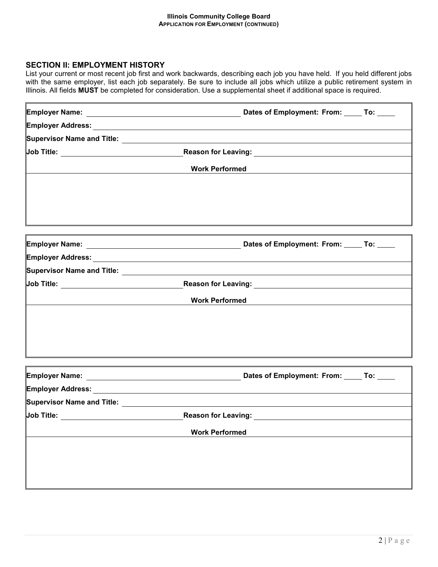## **SECTION II: EMPLOYMENT HISTORY**

List your current or most recent job first and work backwards, describing each job you have held. If you held different jobs with the same employer, list each job separately. Be sure to include all jobs which utilize a public retirement system in Illinois. All fields **MUST** be completed for consideration. Use a supplemental sheet if additional space is required.

| <b>Work Performed</b>                                                                                                                           |  |  |
|-------------------------------------------------------------------------------------------------------------------------------------------------|--|--|
|                                                                                                                                                 |  |  |
|                                                                                                                                                 |  |  |
|                                                                                                                                                 |  |  |
|                                                                                                                                                 |  |  |
|                                                                                                                                                 |  |  |
|                                                                                                                                                 |  |  |
|                                                                                                                                                 |  |  |
|                                                                                                                                                 |  |  |
| <b>Work Performed</b><br><u> 1989 - Johann Stoff, deutscher Stoffen und der Stoffen und der Stoffen und der Stoffen und der Stoffen und der</u> |  |  |
|                                                                                                                                                 |  |  |
|                                                                                                                                                 |  |  |
|                                                                                                                                                 |  |  |
|                                                                                                                                                 |  |  |
|                                                                                                                                                 |  |  |
|                                                                                                                                                 |  |  |
|                                                                                                                                                 |  |  |
|                                                                                                                                                 |  |  |
|                                                                                                                                                 |  |  |
| <b>Work Performed</b>                                                                                                                           |  |  |
|                                                                                                                                                 |  |  |
|                                                                                                                                                 |  |  |
|                                                                                                                                                 |  |  |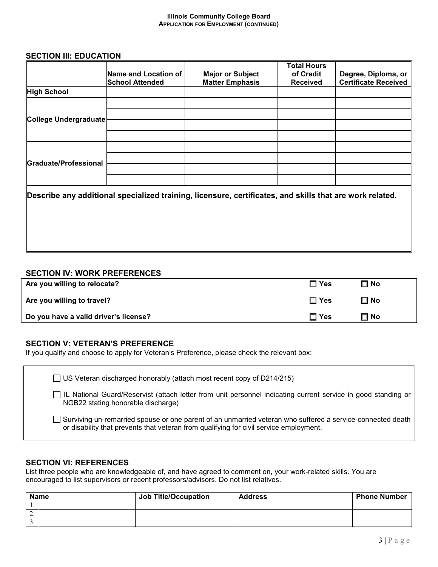#### **Illinois Community College Board APPLICATION FOR EMPLOYMENT (CONTINUED)**

#### **SECTION III: EDUCATION**

|                       | Name and Location of   | <b>Major or Subject</b>                                                                                  | <b>Total Hours</b><br>of Credit | Degree, Diploma, or         |
|-----------------------|------------------------|----------------------------------------------------------------------------------------------------------|---------------------------------|-----------------------------|
| <b>High School</b>    | <b>School Attended</b> | <b>Matter Emphasis</b>                                                                                   | <b>Received</b>                 | <b>Certificate Received</b> |
| College Undergraduate |                        |                                                                                                          |                                 |                             |
| Graduate/Professional |                        |                                                                                                          |                                 |                             |
|                       |                        | Describe any additional specialized training, licensure, certificates, and skills that are work related. |                                 |                             |

# **SECTION IV: WORK PREFERENCES**

| Are you willing to relocate?          | $\Box$ Yes | □ No         |
|---------------------------------------|------------|--------------|
| Are you willing to travel?            | $\Box$ Yes | $\square$ No |
| Do you have a valid driver's license? | $\Box$ Yes | □ No         |

## **SECTION V: VETERAN'S PREFERENCE**

If you qualify and choose to apply for Veteran's Preference, please check the relevant box:

| $\Box$ US Veteran discharged honorably (attach most recent copy of D214/215)                                                                                                                             |
|----------------------------------------------------------------------------------------------------------------------------------------------------------------------------------------------------------|
| □ IL National Guard/Reservist (attach letter from unit personnel indicating current service in good standing or<br>NGB22 stating honorable discharge)                                                    |
| □ Surviving un-remarried spouse or one parent of an unmarried veteran who suffered a service-connected death b<br>or disability that prevents that veteran from qualifying for civil service employment. |

#### **SECTION VI: REFERENCES**

List three people who are knowledgeable of, and have agreed to comment on, your work-related skills. You are encouraged to list supervisors or recent professors/advisors. Do not list relatives.

| <b>Name</b> | <b>Job Title/Occupation</b> | <b>Address</b> | <b>Phone Number</b> |
|-------------|-----------------------------|----------------|---------------------|
| .,          |                             |                |                     |
| <u>.</u>    |                             |                |                     |
| . ب         |                             |                |                     |